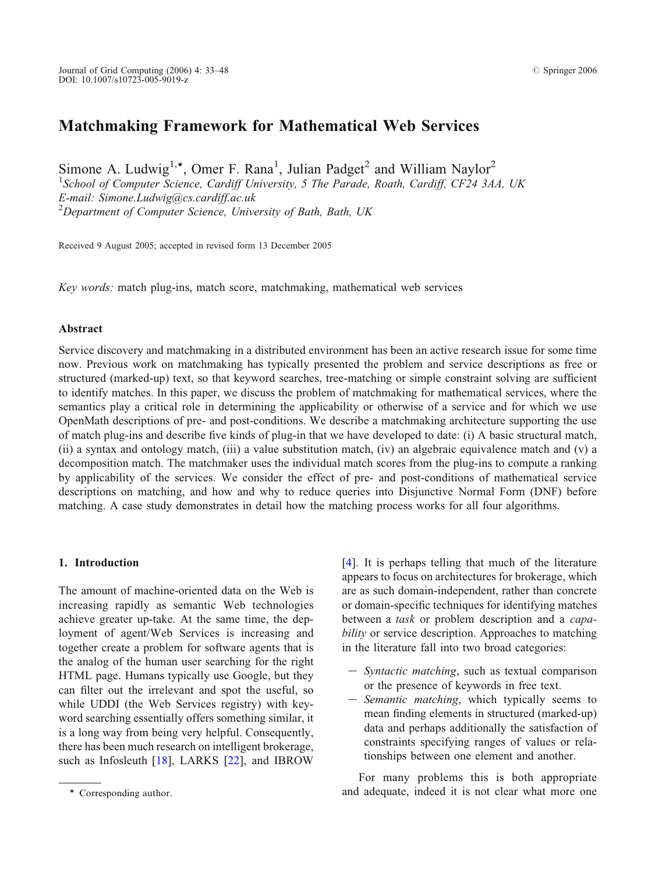Journal of Grid Computing (2006) 4: 33–48 *# Springer 2006*  $\blacksquare$  Springer 2006 *\$ \$pringer 2006*  $\blacksquare$  *\$ Springer 2006*  $\blacksquare$ 

# Matchmaking Framework for Mathematical Web Services

Simone A. Ludwig<sup>1,\*</sup>, Omer F. Rana<sup>1</sup>, Julian Padget<sup>2</sup> and William Naylor<sup>2</sup> <sup>1</sup>School of Computer Science, Cardiff University, 5 The Parade, Roath, Cardiff, CF24 3AA, UK E-mail: Simone.Ludwig@cs.cardiff.ac.uk <sup>2</sup>Department of Computer Science, University of Bath, Bath, UK

Received 9 August 2005; accepted in revised form 13 December 2005

Key words: match plug-ins, match score, matchmaking, mathematical web services

### Abstract

Service discovery and matchmaking in a distributed environment has been an active research issue for some time now. Previous work on matchmaking has typically presented the problem and service descriptions as free or structured (marked-up) text, so that keyword searches, tree-matc[hi](#page-14-0)ng or simple constraint solving are sufficient to identify matches. In this paper, we discuss the problem of matchmaking for mathematical services, where the semantics play a critical role in determining the applicability or otherwise of a service and for which we use OpenMath descriptions of pre- and post-conditions. We describe a matchmaking architecture supporting the use of match plug-ins and describe five kinds of plug-in that we have developed to date: (i) A basic structural match, (ii) a syntax and ontology match, (iii) a value substitution match, (iv) an algebraic equivalence match and (v) a decomposition match. The matchmaker uses the individual match scores from the plug-ins to compute a ranking by applicability of the services. We consider the effect of pre- and post-conditions of mathematical service descriptions on matching, and how and why to reduce queries into Disjunctive Normal Form (DNF) before matching. A case study demonstrates in detail how the matching process works for all four algorithms.

#### 1. Introduction

The amount of machine-oriented data on the Web is increasing rapidly as semantic Web technologies achieve greater up-take. At the same time, the deployment of agent/Web Services is increasing and together create a problem for software agents that is the analog of the human user searching for the right HTML page. Humans typically use Google, but they can filter out the irrelevant and spot the useful, so while UDDI (the Web Services registry) with keyword searching essentially offers something similar, it is a long way from being very helpful. Consequently, there has been much research on intelligent brokerage, such as Infosleuth [18], LARKS [22], and IBROW [4]. It is perhaps telling that much of the literature appears to focus on architectures for brokerage, which are as such domain-independent, rather than concrete or domain-specific techniques for identifying matches between a task or problem description and a capability or service description. Approaches to matching in the literature fall into two broad categories:

- Syntactic matching, such as textual comparison or the presence of keywords in free text.
- Semantic matching, which typically seems to mean finding elements in structured (marked-up) data and perhaps additionally the satisfaction of constraints specifying ranges of values or relationships between one element and another.

For many problems this is both appropriate \* Corresponding author. <br> **and adequate, indeed it is not clear what more one**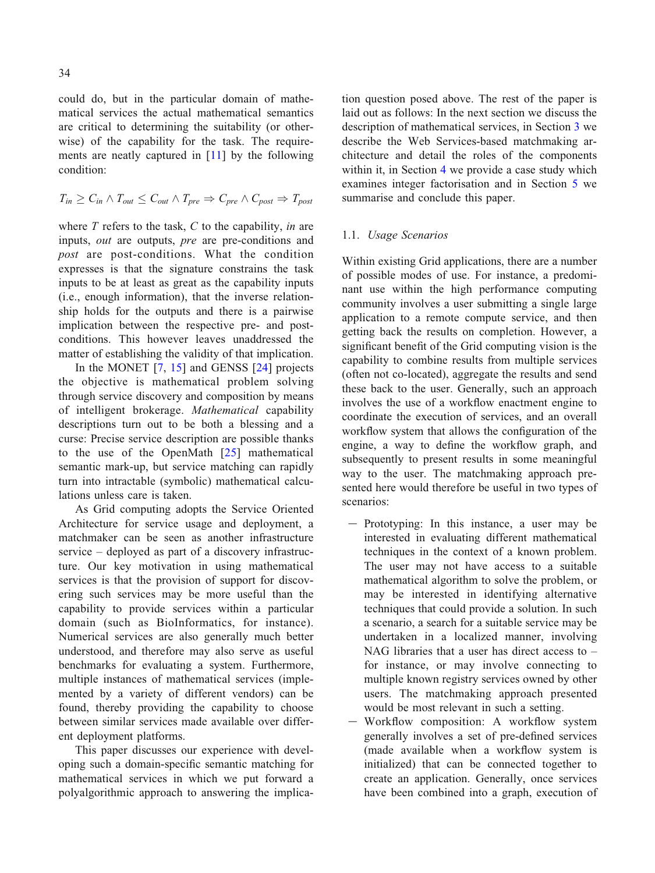could do, but in the particular domain of mathematical services the actual mathematical semantics are critical to determining the suitability (or otherwise) of the capability for the task. The requirements are neatly captured in [11] by the following condition:

$$
T_{in} \geq C_{in} \land T_{out} \leq C_{out} \land T_{pre} \Rightarrow C_{pre} \land C_{post} \Rightarrow T_{post}
$$

where  $T$  refers to the task,  $C$  to the capability, in are inputs, out are outputs, pre are pre-conditions and post are post-conditions. What the condition expresses is that the signature constr[ain](#page-15-0)s the task inputs to be at least as great as the capability inputs (i.e., enough information), that the inverse relationship holds for the outputs and there is a pairwise implication between the respective pre- and postconditions. This however leaves unaddressed the matter of establishing the validity of that implication.

In the MONET [7, 15] and GENSS [24] projects the objective is mathematical problem solving through service discovery and composition by means of intelligent brokerage. Mathematical capability descriptions turn out to be both a blessing and a curse: Precise service description are possible thanks to the use of the OpenMath [25] mathematical semantic mark-up, but service matching can rapidly turn into intractable (symbolic) mathematical calculations unless care is taken.

As Grid computing adopts the Service Oriented Architecture for service usage and deployment, a matchmaker can be seen as another infrastructure  $s$ ervice  $-$  deployed as part of a discovery infrastructure. Our key motivation in using mathematical services is that the provision of support for discovering such services may be more useful than the capability to provide services within a particular domain (such as BioInformatics, for instance). Numerical services are also generally much better understood, and therefore may also serve as useful benchmarks for evaluating a system. Furthermore, multiple instances of mathematical services (implemented by a variety of different vendors) can be found, thereby providing the capability to choose between similar services made available over different deployment platforms.

This paper discusses our experience with developing such a domain-specific semantic matching for mathematical services in which we put forward a polyalgorithmic approach to answering the implication question posed above. The rest of the paper is laid out as follows: In the next section we discuss the description of mathematical services, in Section 3 we describe the Web Services-based matchmaking architecture and detail the roles of the components within it, in Section 4 we provide a case study which examines integer factorisation and in Section 5 we summarise and conclude this paper.

# 1.1. Usage Scenarios

Within existing Grid applications, there are a number of possible modes of use. For instance, a predominant use within the high performance computing community involves a user submitting a single large application to a remote compute service, and then getting back the results on completion. However, a significant benefit of the Grid computing vision is the capability to combine results from multiple services (often not co-located), aggregate the results and send these back to the user. Generally, such an approach involves the use of a workflow enactment engine to coordinate the execution of services, and an overall workflow system that allows the configuration of the engine, a way to define the workflow graph, and subsequently to present results in some meaningful way to the user. The matchmaking approach presented here would therefore be useful in two types of scenarios:

- $-$  Prototyping: In this instance, a user may be interested in evaluating different mathematical techniques in the context of a known problem. The user may not have access to a suitable mathematical algorithm to solve the problem, or may be interested in identifying alternative techniques that could provide a solution. In such a scenario, a search for a suitable service may be undertaken in a localized manner, involving NAG libraries that a user has direct access to  $$ for instance, or may involve connecting to multiple known registry services owned by other users. The matchmaking approach presented would be most relevant in such a setting.
- Workflow composition: A workflow system generally involves a set of pre-defined services (made available when a workflow system is initialized) that can be connected together to create an application. Generally, once services have been combined into a graph, execution of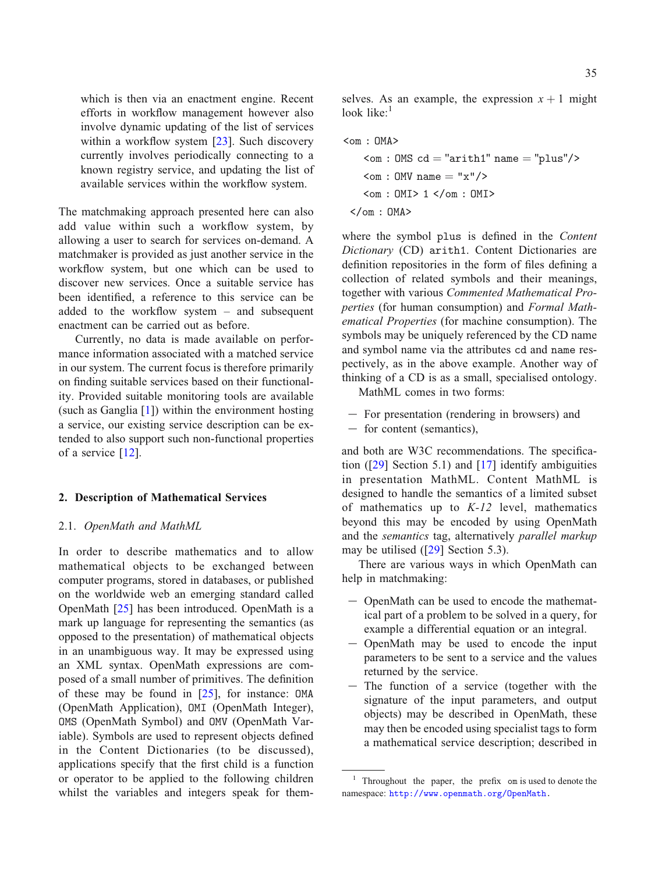which is then via an enactment engine. Recent efforts in workflow management however also involve dynamic updating of the list of services within a workflow system [23]. Such discovery currently involves periodically connecting to a known registry service, and updating the list of available services within the workflow system.

The matchmaking approach presented here can also add value within su[ch](#page-14-0) a workflow system, by allowing a user to search for services on-demand. A matchmaker is provided as just another service in the workflow system, [bu](#page-15-0)t one which can be used to discover new services. Once a suitable service has been identified, a reference to this service can be added to the workflow system  $-$  and subsequent enactment can be carried out as before.

Currently, no data is made available on performance information associated with a matched service in our system. The current focus is therefore primarily on finding suitable services based on their functionality. Provided suitable monitoring tools are available (such as Ganglia [1]) within the environment hosting a service, our ex[istin](#page-15-0)g service description can be extended to also support such non-functional properties of a service [12].

#### 2. Description of Mathematical [Ser](#page-15-0)vices

#### 2.1. OpenMath and MathML

In order to describe mathematics and to allow mathematical objects to be exchanged between computer programs, stored in databases, or published on the worldwide web an emerging standard called OpenMath [25] has been introduced. OpenMath is a mark up language for representing the semantics (as opposed to the presentation) of mathematical objects in an unambiguous way. It may be expressed using an XML syntax. OpenMath expressions are composed of a small number of primitives. The definition of these may be found in [25], for instance: OMA (OpenMath Application), OMI (OpenMath Integer), OMS (OpenMath Symbol) and OMV (OpenMath Variable). Symbols are used to represent objects defined in the Content Dictionaries (to be discussed), applications specify that the first child is a function or operator to be applied to the following children whilst the variables and integers speak for themselves. As an example, the expression  $x + 1$  might look like: $<sup>1</sup>$ </sup>

```
<om : OMA>
    \zetaom : OMS cd = "arith1" name = "plus"/>
    \leqom : OMV name = "x"/>
    \leqom : OMI> 1 \leq/om : OMI>
 \lt/om : OMA
```
where the symbol plus is defined in the Content Dictionary (CD) arith1. Content Dictionaries are definition repositories in the form of files defining a collection [of](#page-15-0) related symbols a[nd](#page-15-0) their meanings, together with various Commented Mathematical Properties (for human consumption) and Formal Mathematical Properties (for machine consumption). The symbols may be uniquely referenced by the CD name and symbol name via the attributes cd and name respectively, as in the ab[ove](#page-15-0) example. Another way of thinking of a CD is as a small, specialised ontology.

MathML comes in two forms:

- For presentation (rendering in browsers) and
- $-$  for content (semantics),

and both are W3C recommendations. The specification ([29] Section 5.1) and [17] identify ambiguities in presentation MathML. Content MathML is designed to handle the semantics of a limited subset of mathematics up to  $K-12$  level, mathematics beyond this may be encoded by using OpenMath and the semantics tag, alternatively parallel markup may be utilised ([29] Section 5.3).

There are various ways in which OpenMath can help in matchmaking:

- OpenMath can be used to encode the mathematical part o[f](http://www.openmath.org/OpenMath) [a](http://www.openmath.org/OpenMath) [problem](http://www.openmath.org/OpenMath) [to](http://www.openmath.org/OpenMath) [be](http://www.openmath.org/OpenMath) [solved](http://www.openmath.org/OpenMath) [in](http://www.openmath.org/OpenMath) [a](http://www.openmath.org/OpenMath) [query](http://www.openmath.org/OpenMath), for example a differential equation or an integral.
- OpenMath may be used to encode the input parameters to be sent to a service and the values returned by the service.
- The function of a service (together with the signature of the input parameters, and output objects) may be described in OpenMath, these may then be encoded using specialist tags to form a mathematical service description; described in

<sup>&</sup>lt;sup>1</sup> Throughout the paper, the prefix om is used to denote the namespace: http://www.openmath.org/OpenMath.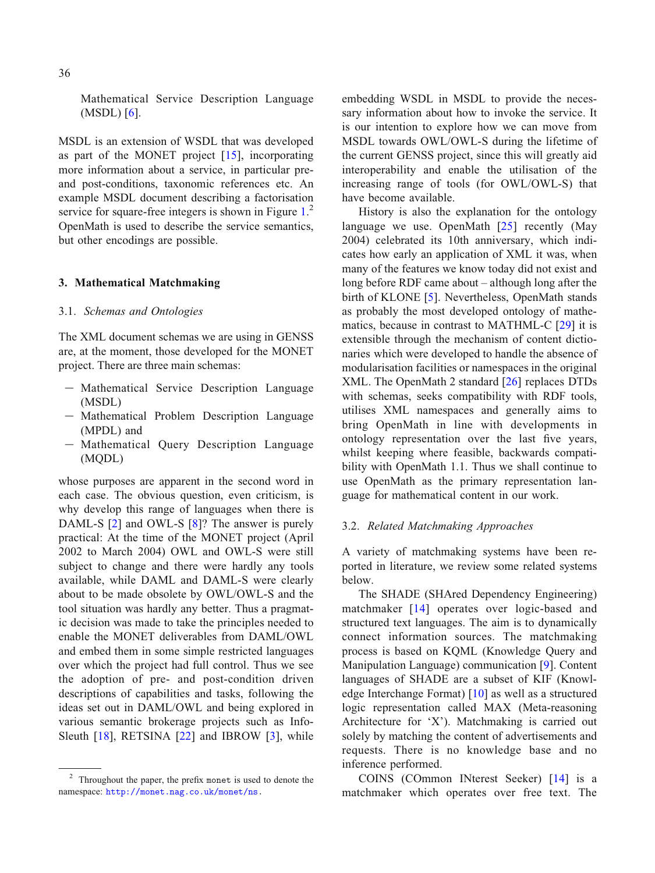Mathematical Service Description Language (MSDL) [6].

MSDL is an extension of WSDL that was developed as part of the MONET project [15], incorporating more information about a service, in particular preand post-conditions, taxonomic references etc. An example MSDL document describing a factorisation service for square-free integers is shown in Figure 1.<sup>2</sup> OpenMath is used to describe the service semantics, but other encodings are possible.

### 3. Mathematical Matchmaking

# 3.1. Schemas and Ontologies

The XML docu[me](#page-14-0)nt schemas we [a](#page-15-0)re using in GENSS are, at the moment, those developed for the MONET project. There are three main schemas:

- Mathematical Service Description Language (MSDL)
- Mathematical Problem Description Language (MPDL) and
- Mathematical Query Description Language (MQDL)

whose purposes are apparent in the second word in each case. The obvious question, even criticism, is why develop this range of languages when there is DAML-S [2] and OWL-S [8]? The answer is purely practical: At the time of the MONET project (April 2002 to Mar[ch](#page-15-0) 2004) OWL [and](#page-15-0) OWL-S were [st](#page-14-0)ill subject to change and there were hardly any tools available, while DAML and DAML-S were clearly about to be made obsolete by OWL/OWL-S and the tool situation [was](http://monet.nag.co.uk/monet/ns) [hardly](http://monet.nag.co.uk/monet/ns) [any](http://monet.nag.co.uk/monet/ns) [better.](http://monet.nag.co.uk/monet/ns) [Thus](http://monet.nag.co.uk/monet/ns) [a](http://monet.nag.co.uk/monet/ns) [prag](http://monet.nag.co.uk/monet/ns)matic decision was made to take the principles needed to enable the MONET deliverables from DAML/OWL and embed them in some simple restricted languages over which the project had full control. Thus we see the adoption of pre- and post-condition driven descriptions of capabilities and tasks, following the ideas set out in DAML/OWL and being explored in various semantic brokerage projects such as Info-Sleuth [18], RETSINA [22] and IBROW [3], while

embedding WSDL in MSDL to provide the necessary information about [h](#page-14-0)ow to invoke the service. It is our intention to explore how we can move from MSDL towards OWL/OWL-S during the lifetime [of](#page-15-0) the current GENSS project, since this will greatly aid interoperability and enable the utilisation of the increasing range of tools (for OWL/OWL-S) that have become available.

History is also the explanation for the ontology language we use. OpenMath [25] recently (May 2004) celebrated its 10th anniversary, which indicates how early an application of XML it was, when many of the features we know today did not exist and long before RDF came about - although long after the birth of KLONE [5]. Nevertheless, OpenMath stands as probably the most developed ontology of mathematics, because in contrast to MATHML-C [29] it is extensible through the mechanism of content dictionaries which were developed to handle the absence of modularisation facilities or namespaces in the original XML. The OpenMath 2 standard [26] replaces DTDs with schemas, seeks compatibility with RDF tools, utilises XML namespaces and generally aims to bring OpenMath [in](#page-15-0) line with developments in ontology representation over the last five years, whilst keeping where feasible, backwards compatibility with OpenMath 1.1. Thus we shall continue to use OpenMath as the primary representatio[n](#page-15-0) language for mathematical content in our work.

#### 3.2. Related Matchmaking Approaches

A variety of matchmaking systems have been reported in literature, we review some related systems below.

The SHADE (SHAred Dependency Engineer[ing](#page-15-0)) matchmaker [14] operates over logic-based and structured text languages. The aim is to dynamically connect information sources. The matchmaking process is based on KQML (Knowledge Query and Manipulation Language) communication [9]. Content languages of SHADE are a subset of KIF (Knowledge Interchange Format) [10] as well as a structured logic representation called MAX (Meta-reasoning Architecture for 'X'). Matchmaking is carried out solely by matching the content of advertisements and requests. There is no knowledge base and no inference performed.

COINS (COmmon INterest Seeker) [14] is a matchmaker which operates over free text. The

<sup>&</sup>lt;sup>2</sup> Throughout the paper, the prefix monet is used to denote the namespace: http://monet.nag.co.uk/monet/ns.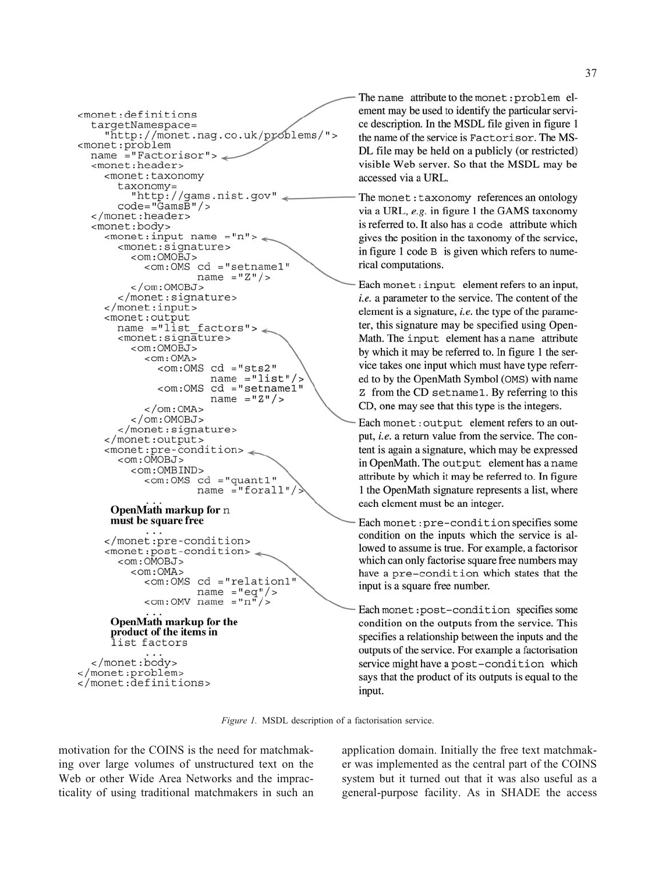

</monet:problem> </monet:definitions> The name attribute to the monet: problem element may be used to identify the particular service description. In the MSDL file given in figure 1 the name of the service is Factorisor. The MS-DL file may be held on a publicly (or restricted) visible Web server. So that the MSDL may be accessed via a URL.

The monet: taxonomy references an ontology via a URL, e.g. in figure 1 the GAMS taxonomy is referred to. It also has a code attribute which gives the position in the taxonomy of the service, in figure 1 code B is given which refers to numerical computations.

Each monet: input element refers to an input, *i.e.* a parameter to the service. The content of the element is a signature, *i.e.* the type of the parameter, this signature may be specified using Open-Math. The input element has a name attribute by which it may be referred to. In figure 1 the service takes one input which must have type referred to by the OpenMath Symbol (OMS) with name Z from the CD setname1. By referring to this CD, one may see that this type is the integers.

Each monet: output element refers to an output, i.e. a return value from the service. The content is again a signature, which may be expressed in OpenMath. The output element has a name attribute by which it may be referred to. In figure 1 the OpenMath signature represents a list, where each element must be an integer.

Each monet: pre-condition specifies some condition on the inputs which the service is allowed to assume is true. For example, a factorisor which can only factorise square free numbers may have a pre-condition which states that the input is a square free number.

Each monet: post-condition specifies some condition on the outputs from the service. This specifies a relationship between the inputs and the outputs of the service. For example a factorisation service might have a post-condition which says that the product of its outputs is equal to the input.

Figure 1. MSDL description of a factorisation service.

motivation for the COINS is the need for matchmaking over large volumes of unstructured text on the Web or other Wide Area Networks and the impracticality of using traditional matchmakers in such an application domain. Initially the free text matchmaker was implemented as the central part of the COINS system but it turned out that it was also useful as a general-purpose facility. As in SHADE the access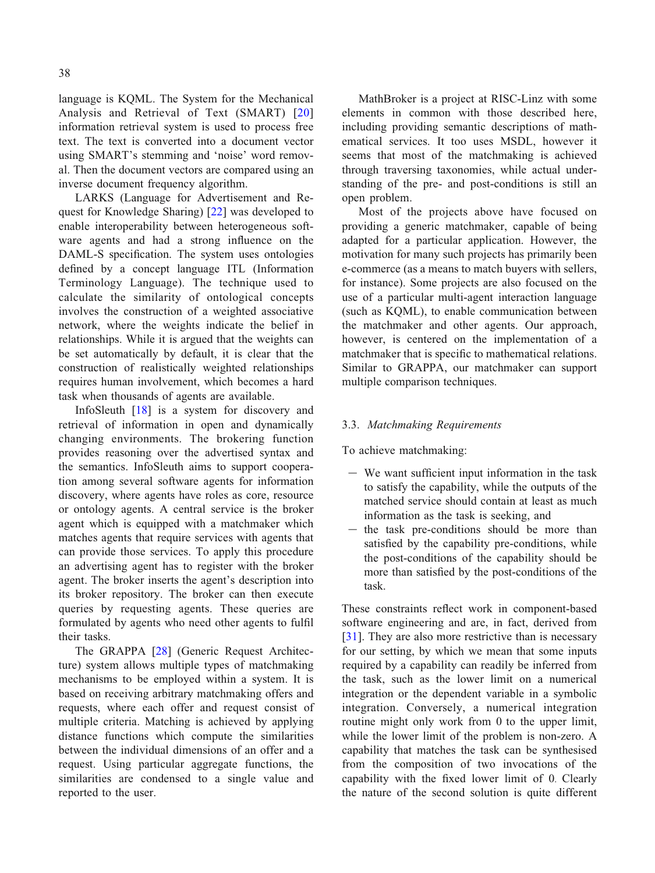language is KQML. The System for the Mechanical Analysis and Retrieval of Text (SMART) [20] information retrieval system is used to process free text. The text is converted into a document vector using SMART's stemming and 'noise' word removal. Then the document vectors are compared using an inverse document frequency algorithm.

LARKS (Language for Advertisement and Request for Knowledge Sharing) [22] was developed to enable interoperabili[ty](#page-15-0) between heterogeneous software agents and had a strong influence on the DAML-S specification. The system uses ontologies defined by a concept language ITL (Information Terminology Language). The technique used to calculate the similarity of ontological concepts involves the construction of a weighted associative network, where the weights indicate the belief in relationships. While it is argued that the weights can be set automatically by default, it is clear that the construction of realistically weighted relationships requires human involvement, which becomes a hard task when thousands of agents are available.

InfoSleuth [18] is a system for discovery and retrieval of information in open and dynamically changing environments. The brokering function provides reasoning over the advertised syntax and the semantics. InfoSleut[h a](#page-15-0)ims to support cooperation among several software agents for information discovery, where agents have roles as core, resource or ontology agents. A central service is the broker agent which is equipped with a matchmaker which matches agents that require services with agents that can provide those services. To apply this procedure an advertising agent has to register with the broker agent. The broker inserts the agent's description into its broker repository. The broker can then execute queries by requesting agents. These queries are formulated by agents who need other agents to fulfil their tasks.

The GRAPPA [28] (Generic Request Architecture) system allows multiple types of matchmaking mechanisms to be employed within a system. It is based on receiving arbitrary matchmaking offers and requests, where each offer and request consist of multiple criteria. Matching is achieved by applying distance functions which compute the similarities between the individual dimensions of an offer and a request. Using particular aggregate functions, the similarities are condensed to a single value and reported to the user.

MathBroker is a project at RISC-Linz with some elements in common with those described here, including providing semantic descriptions of mathematical services. It too uses MSDL, however it seems that most of the matchmaking is achieved through traversing taxonomies, while actual understanding of the pre- and post-conditions is still an open problem.

Most of the projects above have focused on providing a generic matchmaker, capable of being adapted for a particular application. However, the motivation for many such projects has primarily been e-commerce (as a means to match buyers with sellers, for instance). Some projects are also focused on the use of a particular multi-agent interaction language (such as KQML), to enable communication between the matchmaker and other agents. Our approach, however, is centered on the implementation of a matchmaker that is specific to mathematical relations. Similar to GRAPPA, our matchmaker can support multiple comparison techniques.

### 3.3. Matchmaking Requirements

To ac[hie](#page-15-0)ve matchmaking:

- We want sufficient input information in the task to satisfy the capability, while the outputs of the matched service should contain at least as much information as the task is seeking, and
- the task pre-conditions should be more than satisfied by the capability pre-conditions, while the post-conditions of the capability should be more than satisfied by the post-conditions of the task.

These constraints reflect work in component-based software engineering and are, in fact, derived from [31]. They are also more restrictive than is necessary for our setting, by which we mean that some inputs required by a capability can readily be inferred from the task, such as the lower limit on a numerical integration or the dependent variable in a symbolic integration. Conversely, a numerical integration routine might only work from 0 to the upper limit, while the lower limit of the problem is non-zero. A capability that matches the task can be synthesised from the composition of two invocations of the capability with the fixed lower limit of 0. Clearly the nature of the second solution is quite different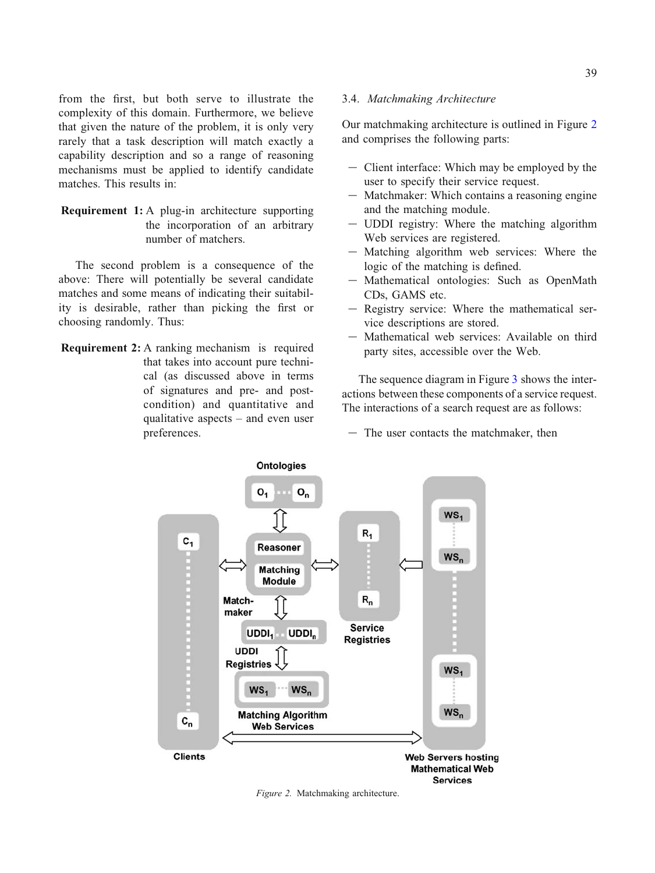from the first, but both serve to illustrate the complexity of this domain. Furthermore, we believe that given the nature of the problem, it is only very rarely that a task description will match exactly a capability description and so a range of reasoning mechanisms must be applied to identify candidate matches. This results in:

Requirement 1: A plug-in architecture supporting the incorporation of an arbitrary number of matchers.

The second problem is a consequence of the above: There will potentially be several candidate matches and some means of indicating their suitability is desirable, rather than picking the first or choosing randomly. Thus:

Requirement 2: A ranking mechanism is required that takes into account pure technical (as discussed above in terms of signatures and pre- and postcondition) and quantitative and qualitative aspects  $-$  and even user preferences.

#### 3.4. Matchmaking Architecture

Our matchmaking architecture is outlined in Figure 2 and comprises the following parts:

- Client interface: Which may be employed by the user to specify their service request.
- Matchmaker: Which contains a reas[on](#page-7-0)ing engine and the matching module.
- UDDI registry: Where the matching algorithm Web services are registered.
- Matching algorithm web services: Where the logic of the matching is defined.
- Mathematical ontologies: Such as OpenMath CDs, GAMS etc.
- Registry service: Where the mathematical service descriptions are stored.
- Mathematical web services: Available on third party sites, accessible over the Web.

The sequence diagram in Figure 3 shows the interactions between these components of a service request. The interactions of a search request are as follows:

 $-$  The user contacts the matchmaker, then



Figure 2. Matchmaking architecture.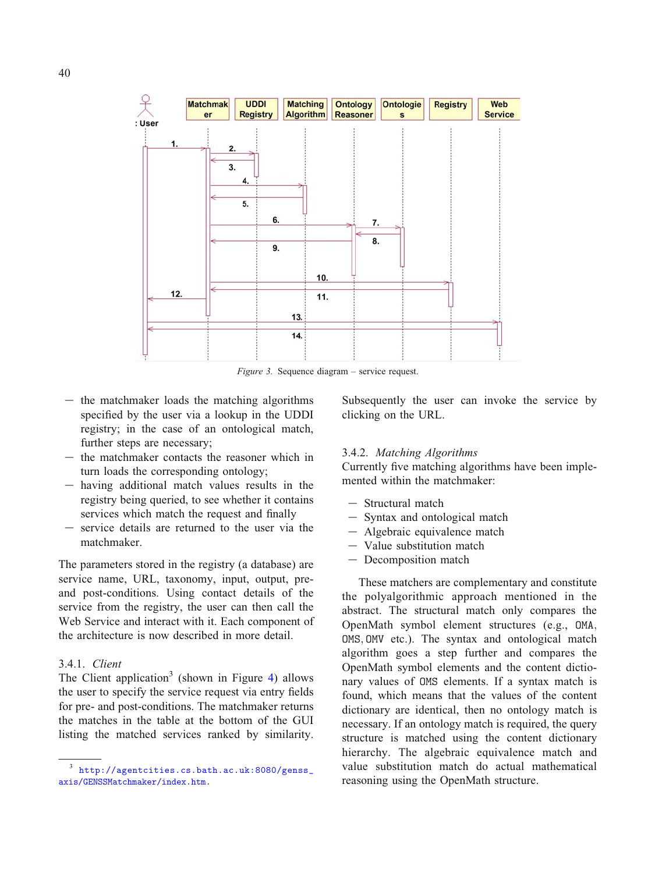<span id="page-7-0"></span>

Figure 3. Sequence diagram  $-$  service request.

- $-$  the matchmaker loads the matching algorithms specified by the user via a lookup in the UDDI registry; in the case of an ontological match, further steps are necessary;
- $-$  the matchmaker contacts the reasoner which in turn loads the corresponding ontology;
- having additional match values results in the registry being queried, to see whether it con[ta](#page-8-0)ins services which match the request and finally
- service details are returned to the user via the matchmaker.

The parameters stored in the registry (a database) are service n[ame, URL, taxonomy, input, output, pre](http://agentcities.cs.bath.ac.uk:8080/genss_axis/GENSSMatchmaker/index.htm)and [post-conditions. Using contact](http://agentcities.cs.bath.ac.uk:8080/genss_axis/GENSSMatchmaker/index.htm) details of the service from the registry, the user can then call the Web Service and interact with it. Each component of the architecture is now described in more detail.

# 3.4.1. Client

The Client application<sup>3</sup> (shown in Figure 4) allows the user to specify the service request via entry fields for pre- and post-conditions. The matchmaker returns the matches in the table at the bottom of the GUI listing the matched services ranked by similarity. Subsequently the user can invoke the service by clicking on the URL.

### 3.4.2. Matching Algorithms

Currently five matching algorithms have been implemented within the matchmaker:

- Structural match
- Syntax and ontological match
- Algebraic equivalence match
- $-$  Value substitution match
- Decomposition match

These matchers are complementary and constitute the polyalgorithmic approach mentioned in the abstract. The structural match only compares the OpenMath symbol element structures (e.g., OMA; OMS; OMV etc.). The syntax and ontological match algorithm goes a step further and compares the OpenMath symbol elements and the content dictionary values of OMS elements. If a syntax match is found, which means that the values of the content dictionary are identical, then no ontology match is necessary. If an ontology match is required, the query structure is matched using the content dictionary hierarchy. The algebraic equivalence match and value substitution match do actual mathematical reasoning using the OpenMath structure.

<sup>3</sup> http://agentcities.cs.bath.ac.uk:8080/genss\_ axis/GENSSMatchmaker/index.htm.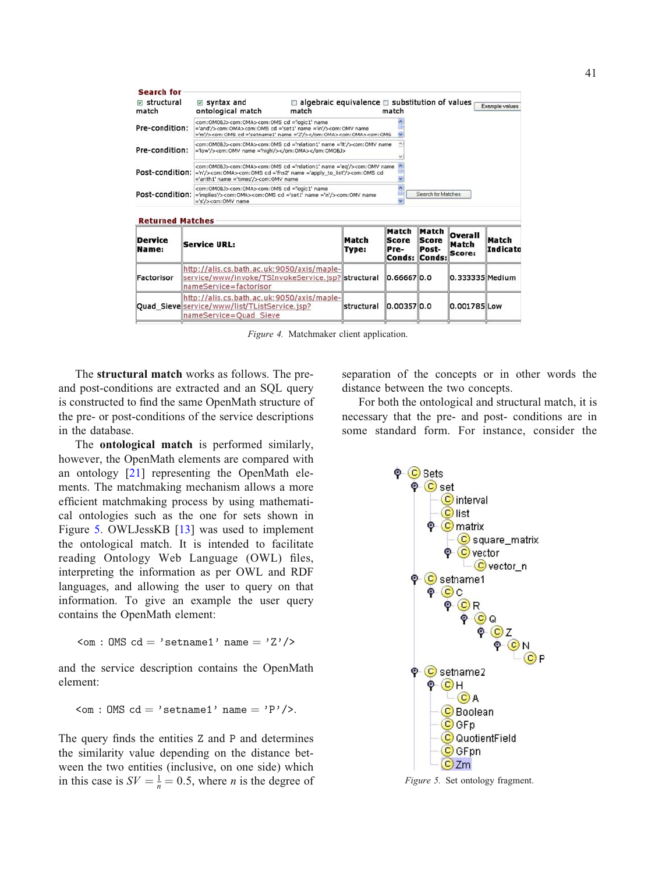<span id="page-8-0"></span>

| <b>Search for</b><br>structural<br>match            |                                                                                                                       | $\triangleright$ syntax and<br>ontological match                                                                                                                                                                                                                                                                                                                                                                                                                                                                                                                                                                                                                               | $\Box$ algebraic equivalence $\Box$ substitution of values<br>match |            | match       |              |                 | Exemple values |                         |  |                     |  |                |                                                       |                                |                            |                   |
|-----------------------------------------------------|-----------------------------------------------------------------------------------------------------------------------|--------------------------------------------------------------------------------------------------------------------------------------------------------------------------------------------------------------------------------------------------------------------------------------------------------------------------------------------------------------------------------------------------------------------------------------------------------------------------------------------------------------------------------------------------------------------------------------------------------------------------------------------------------------------------------|---------------------------------------------------------------------|------------|-------------|--------------|-----------------|----------------|-------------------------|--|---------------------|--|----------------|-------------------------------------------------------|--------------------------------|----------------------------|-------------------|
| Pre-condition:<br>Pre-condition:<br>Post-condition: |                                                                                                                       | <om:omobj><om:oma><om:oms cd="logic1" name<br="">='and'/&gt;<om:oma><om:oms cd="set1" name="in"></om:oms><om:omv name<br="">='m'/&gt;<om: cd="setname1" name="Z" oms=""></om:><om: oma=""><om: oms<="" td=""><td></td><td></td><td></td><td></td></om:></om:></om:omv></om:oma></om:oms></om:oma></om:omobj>                                                                                                                                                                                                                                                                                                                                                                   |                                                                     |            |             |              |                 |                |                         |  |                     |  |                |                                                       |                                |                            |                   |
|                                                     |                                                                                                                       | <om:omobj><om:oma><om:oms cd="relation1" name="lt"></om:oms><om:omv name<br="">='low'/&gt;<om:omv name="high"></om:omv></om:omv></om:oma></om:omobj><br><om: omobj=""><om: oma=""><om: cd="relation1" name="eq" oms=""></om:><om: name<br="" omv="">='n'/&gt;com:OMA&gt;com:OMS cd ='fns2' name ='apply_to_list'/&gt;com:OMS cd<br/>='arith1' name ='times'/&gt;<om:omv name<br=""><om:omobj><om:oma><om:oms cd="logic1" name<br="">Post-condition: = 'implies'/&gt;<om:oma><om:oms cd="set1" name="n"></om:oms><om:omv name<br="">Search for Matches<br/>='s'/&gt;<om: name<="" omv="" th=""></om:></om:omv></om:oma></om:oms></om:oma></om:omobj></om:omv></om:></om:></om:> |                                                                     |            |             |              |                 |                |                         |  |                     |  |                |                                                       |                                |                            |                   |
|                                                     |                                                                                                                       |                                                                                                                                                                                                                                                                                                                                                                                                                                                                                                                                                                                                                                                                                |                                                                     |            |             |              |                 |                | <b>Returned Matches</b> |  |                     |  |                |                                                       |                                |                            |                   |
|                                                     |                                                                                                                       |                                                                                                                                                                                                                                                                                                                                                                                                                                                                                                                                                                                                                                                                                |                                                                     |            |             |              |                 |                | Dervice<br>Name:        |  | <b>Service URL:</b> |  | Match<br>Type: | Match<br><b>Score</b><br>Pre-<br><b>Conds: Conds:</b> | Match<br><b>Score</b><br>Post- | Overall<br>Match<br>Score: | Match<br>Indicato |
| Factorisor                                          |                                                                                                                       | http://alis.cs.bath.ac.uk:9050/axis/maple-<br>service/www/invoke/TSInvokeService.jsp? structural<br>nameService=factorisor                                                                                                                                                                                                                                                                                                                                                                                                                                                                                                                                                     |                                                                     |            | 0.66667 0.0 |              | 0.333335 Medium |                |                         |  |                     |  |                |                                                       |                                |                            |                   |
|                                                     | http://alis.cs.bath.ac.uk:9050/axis/maple-<br>Quad Sieve service/www/list/TListService.jsp?<br>nameService=Quad Sieve |                                                                                                                                                                                                                                                                                                                                                                                                                                                                                                                                                                                                                                                                                | structural                                                          | 0.003570.0 |             | 0.001785 Low |                 |                |                         |  |                     |  |                |                                                       |                                |                            |                   |
|                                                     |                                                                                                                       |                                                                                                                                                                                                                                                                                                                                                                                                                                                                                                                                                                                                                                                                                |                                                                     |            |             |              |                 |                |                         |  |                     |  |                |                                                       |                                |                            |                   |

Figure 4. Matchmaker client application.

The structural match works as follows. The preand post-conditions are extracted and an SQL query is constructed to find the same OpenMath structure of the pre- or post-conditions of the service descriptions in the database.

The ontological match is performed similarly, however, the OpenMath elements are compared with an ontology [21] representing the OpenMath elements. The matchmaking mechanism allows a more efficient matchmaking process by using mathematical ontologies such as the one for sets shown in Figure 5. OWLJessKB [13] was used to implement the ontological match. It is intended to facilitate reading Ontology Web Language (OWL) files, interpreting the information as per OWL and RDF languages, and allowing the user to query on that information. To give an example the user query contains the OpenMath element:

$$
\leq_{\text{om}}: \text{OMS} \text{ cd} = \text{'setname1'} \text{ name} = \text{'Z'} \text{/>}
$$

and the service description contains the OpenMath element:

$$
\leq \text{om}: \text{OMS} \text{ cd} = \text{'setname1'} \text{name} = \text{'P'} \text{/>}.
$$

The query finds the entities Z and P and determines the similarity value depending on the distance between the two entities (inclusive, on one side) which in this case is  $SV = \frac{1}{n} = 0.5$ , where *n* is the degree of

separation of the concepts or in other words the distance between the two concepts.

For both the ontological and structural match, it is necessary that the pre- and post- conditions are in some standard form. For instance, consider the



Figure 5. Set ontology fragment.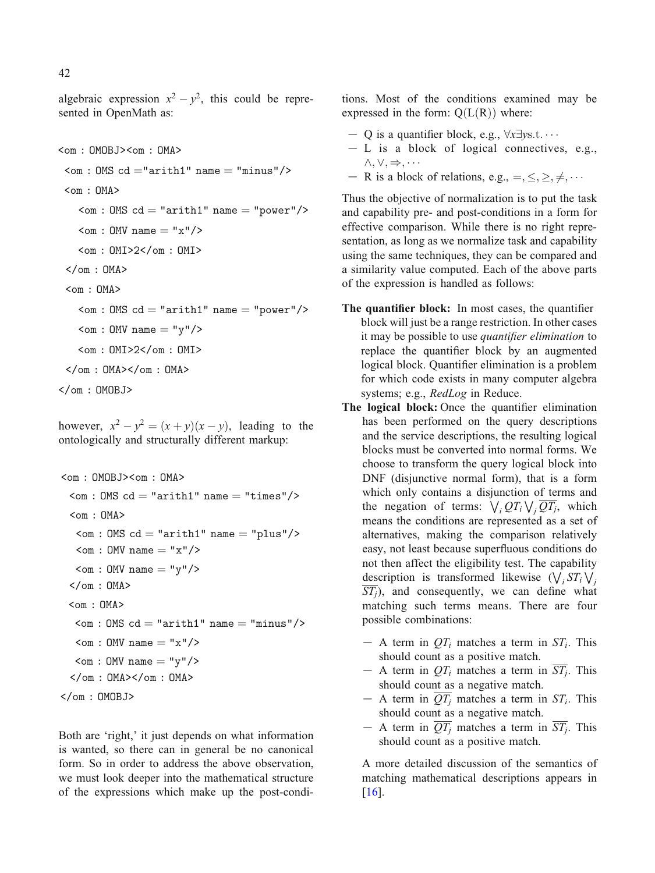algebraic expression  $x^2 - y^2$ , this could be represented in OpenMath as:

```
<om : OMOBJ><om : OMA>
```

```
\zetaom : OMS cd = "arith1" name = "minus"/>
```

```
<om : OMA>
```

```
\zeta : OMS cd = "arith1" name = "power"/>
```

```
\leqom : OMV name = "x"/>
```

```
<om : OMI>2</om : OMI>
```
</om : OMA>

<om : OMA>

 $\text{Com}: 0\text{MS} \text{ cd} = \text{"arith1" name} = \text{"power"}$  $\leq$ om : OMV name  $=$  "y"/> <om : OMI>2</om : OMI> </om : OMA></om : OMA> </om : OMOBJ>

however,  $x^2 - y^2 = (x + y)(x - y)$ , leading to the ontologically and structurally different markup:

```
<om : OMOBJ><om : OMA>
 \zetaom : OMS cd = "arith1" name = "times"/>
 <om : OMA>
  \zetaom : OMS cd = "arith1" name = "plus"/>
  \leqom : OMV name = "x"/>
  \leqom : OMV name = "y"/>
 </om : OMA><om : OMA>
  \zetaom : OMS cd = "arith1" name = "minus"/>
  \langleom : OMV name = "x"/>
  \langleom : OMV name = "y"/>
 </om : OMA></om : OMA></om : OMOBJ>
```
Both are 'right,' it just depends on what information is wanted, so there can in general be no canonical form. So in order to address the above observation, we must look deeper into the mathematical structure of the expressions which make up the post-conditions. Most of the conditions examined may be expressed in the form:  $Q(L(R))$  where:

- $-Q$  is a quantifier block, e.g.,  $\forall x \exists y s.t. \cdots$
- $-L$  is a block of logical connectives, e.g.,  $\wedge$ ,  $\vee$ ,  $\Rightarrow$ ,  $\cdots$
- R is a block of relations, e.g.,  $=, \leq, \geq, \neq, \cdots$

Thus the objective of normalization is to put the task and capability pre- and post-conditions in a form for effective comparison. While there is no right representation, as long as we normalize task and capability using the same techniques, they can be compared and a similarity value computed. Each of the above parts of the expression is handled as follows:

- The quantifier block: In most cases, the quantifier block will just be a range restriction. In other cases it may be possible to use quantifier elimination to replace the quantifier block by an augmented logical block. Quantifier elimination is a problem for which code exists in many computer algebra systems; e.g., RedLog in Reduce.
- The logical block: Once the quantifier elimination has been performed on the query descriptions and the service descriptions, the resulting logical blocks must be converted into normal forms. We choose to transform the query logical block into DNF (disjunctive normal form), that is a form which only contains a disjunction of terms and the negation of terms:  $\sqrt{i} QT_i \sqrt{j} \overline{Q}T_j$ , which means the conditions are represented as a set of alternatives, making the comparison relatively easy, not least because superfluous conditions do not then affect the eligibility test. The capability description is transformed likewise  $(\bigvee_i ST_i \bigvee_j$  $\overline{ST_i}$ ), and consequently, we can define what matc[hing](#page-15-0) such terms means. There are four possible combinations:
	- A term in  $QT_i$  matches a term in  $ST_i$ . This should count as a positive match.
	- A term in  $QT_i$  matches a term in  $\overline{ST_i}$ . This should count as a negative match.
	- A term in  $\overline{OT_i}$  matches a term in  $ST_i$ . This should count as a negative match.
	- A term in  $\overline{QT_i}$  matches a term in  $\overline{ST_i}$ . This should count as a positive match.

A more detailed discussion of the semantics of matching mathematical descriptions appears in [16].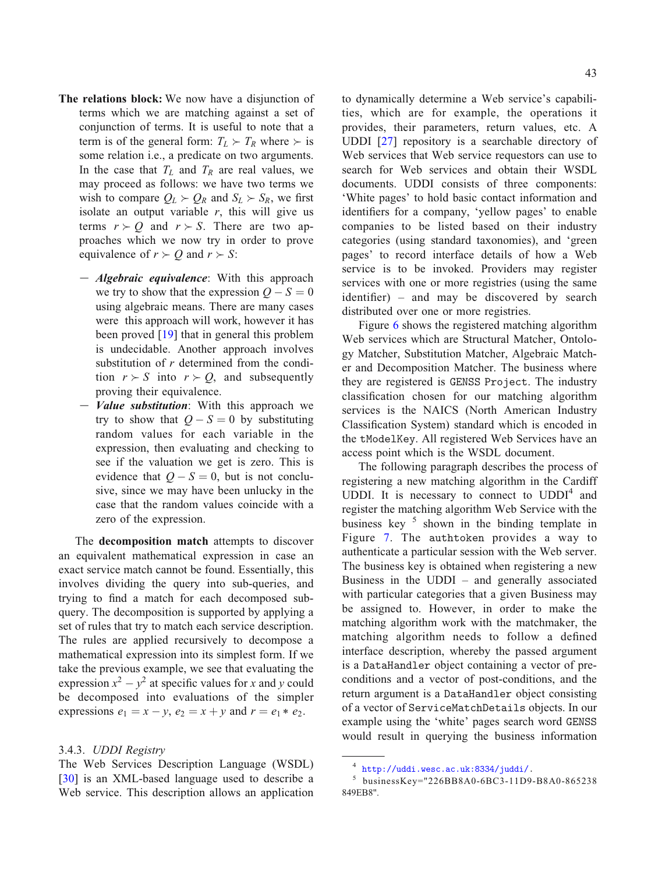- The relations block: We now have a disjunction of terms which we are matching against a set of conjunction of terms. It is useful to note that a term is of the general form:  $T_L \succ T_R$  where  $\succ$  is some relation i.e., a p[redi](#page-15-0)cate on two arguments. In the case that  $T_L$  and  $T_R$  are real values, we may proceed as follows: we have two terms we wish to compare  $Q_L \succ Q_R$  and  $S_L \succ S_R$ , we first isolate an output variable  $r$ , this will give us terms  $r > Q$  and  $r > S$ . There are two approaches which we now try in order to prove equivalence of  $r > Q$  and  $r > S$ :
	- $-$  Algebraic equivalence: With this approach we try to show that the expression  $Q - S = 0$ using algebraic means. There are many cases were this approach will work, however it has been proved [19] that in general this problem is undecidable. Another approach involves substitution of r determined from the condition  $r > S$  into  $r > Q$ , and subsequently proving their equivalence.
	- $-$  *Value substitution*: With this approach we try to show that  $Q - S = 0$  by substituting random values for each variable in the expression, then evaluating and checking to see if the valuation we get is zero. This is evidence that  $Q - S = 0$ , but is not conclusive, since we may have been unlucky in the case that the random values coincide with a zero of the expression.

The decomposition match attempts to discover an equivalent mathematical expression in case an exact service match cannot be found. Essentially, this involves dividing the query into sub-queries, and trying [to](#page-15-0) find a match for each decomposed subquery. The decomposition is supported by applying a set of rules that try to match each service description. The rules are applied recursively to decompose a mathematical expression into its simplest form. If we take the previous example, we see that evaluating the expression  $x^2 - y^2$  at specific values for x and y could be decomposed into evaluations of the simpler expressions  $e_1 = x - y$ ,  $e_2 = x + y$  and  $r = e_1 * e_2$ .

# 3.4.3. UDDI Registry

The Web Services Description Language (WSDL) [30] is an XML-based language used to describe a Web service. This description allows an application to dynamically determine a Web service's capabilities, which are for example, the operations it provides, their parameters, return values, etc. A UDDI [27] rep[os](#page-11-0)itory is a searchable directory of Web services that Web service requestors can use to search for Web services and obtain their WSDL documents. UDDI consists of three components: 'White pages' to hold basic contact information and identifiers for a company, 'yellow pages' to enable companies to be listed based on their industry categories (using standard taxonomies), and 'green pages' to record interface details of how a Web service is to be invoked. Providers may register services with one or more registries (using the same  $identifier$  – and may be discovered by search distributed over one or more registries.

Figure 6 shows the registered matching algorithm Web services which are Structural Matcher, Ontology Matcher, [Su](#page-12-0)bstitution Matcher, Algebraic Matcher and Decomposition Matcher. The business where they are registered is GENSS Project. The industry classification chosen for our matching algorithm services is the NAICS (North American Industry Classification System) standard which is encoded in the tModelKey. All registered Web Services have an access point which is the WSDL document.

The following paragraph describes the process of registering a new matching algorithm in the Cardiff UDDI. It is necessary to connect to  $\text{UDDI}^4$  and register the matching algorithm Web Service with the business key  $\frac{5}{1}$  shown in the binding template in Figure 7. The authtoken provides a way to authenticate a particular session with the Web server. The business key is obtained when registering a new Business in the  $UDDI -$  [and generally a](http://uddi.wesc.ac.uk:8334/juddi/)ssociated with particular categories that a given Business may be assigned to. However, in order to make the matching algorithm work with the matchmaker, the matching algorithm needs to follow a defined interface description, whereby the passed argument is a DataHandler object containing a vector of preconditions and a vector of post-conditions, and the return argument is a DataHandler object consisting of a vector of ServiceMatchDetails objects. In our example using the 'white' pages search word GENSS would result in querying the business information

 $^4$ http://uddi.wesc.ac.uk:8334/juddi/.

<sup>5</sup> businessKey="226BB8A0-6BC3-11D9-B8A0-865238 849EB8".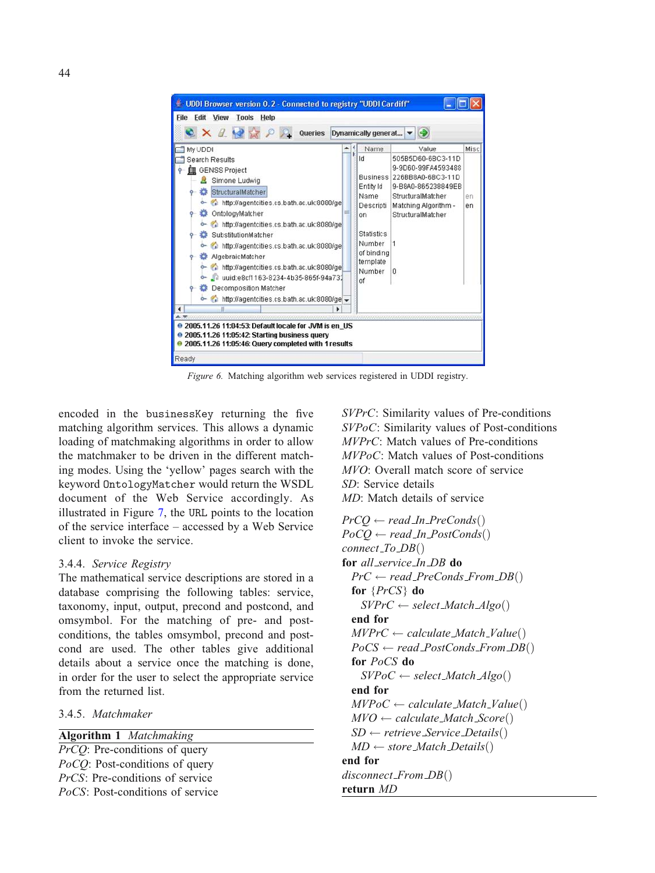<span id="page-11-0"></span>

Figure 6. Matching algorithm web services registered in UDDI registry.

encoded in the businessKey returning the five matching algorithm services. This allows a dynamic loading of matchmaking algorithms in order to allow the matchmaker to be driven in the different matching modes. Using the 'yellow' pages search with the keyword OntologyMatcher would return the WSDL document of the Web Service accordingly. As illustrated in Figure 7, the URL points to the location of the service interface  $-$  accessed by a Web Service client to invoke the service.

#### 3.4.4. Service Registry

The mathematical service descriptions are stored in a database comprising the following tables: service, taxonomy, input, output, precond and postcond, and omsymbol. For the matching of pre- and postconditions, the tables omsymbol, precond and postcond are used. The other tables give additional details about a service once the matching is done, in order for the user to select the appropriate service from the returned list.

3.4.5. Matchmaker

Algorithm 1 Matchmaking PrCQ: Pre-conditions of query PoCO: Post-conditions of query PrCS: Pre-conditions of service PoCS: Post-conditions of service SVPrC: Similarity values of Pre-conditions SVPoC: Similarity values of Post-conditions MVPrC: Match values of Pre-conditions MVPoC: Match values of Post-conditions MVO: Overall match score of service SD: Service details MD: Match details of service

 $PrCO \leftarrow read\_In\_PreConds()$  $PoCQ \leftarrow read\_In\mathit{PostConds}()$ connect  $To$   $DB()$ for all service In DB do  $PrC \leftarrow read\_PreConds$  From  $DB()$ for  $\{PrCS\}$  do  $SVPrC \leftarrow select\_Match\_Algo()$ end for  $MVPrC \leftarrow calculate\_Match\_Value()$  $PoCS \leftarrow read\_{PostConds\_{From\_{DB}}($ for PoCS do  $SVPoC \leftarrow select\_Match\_Algo()$ end for  $MVPoC \leftarrow calculate\_Match\_Value()$  $MVO \leftarrow calculate\_Match\_Score()$  $SD \leftarrow$  retrieve Service Details()  $MD \leftarrow store\_Match\_Details()$ end for disconnect From  $DB()$ return MD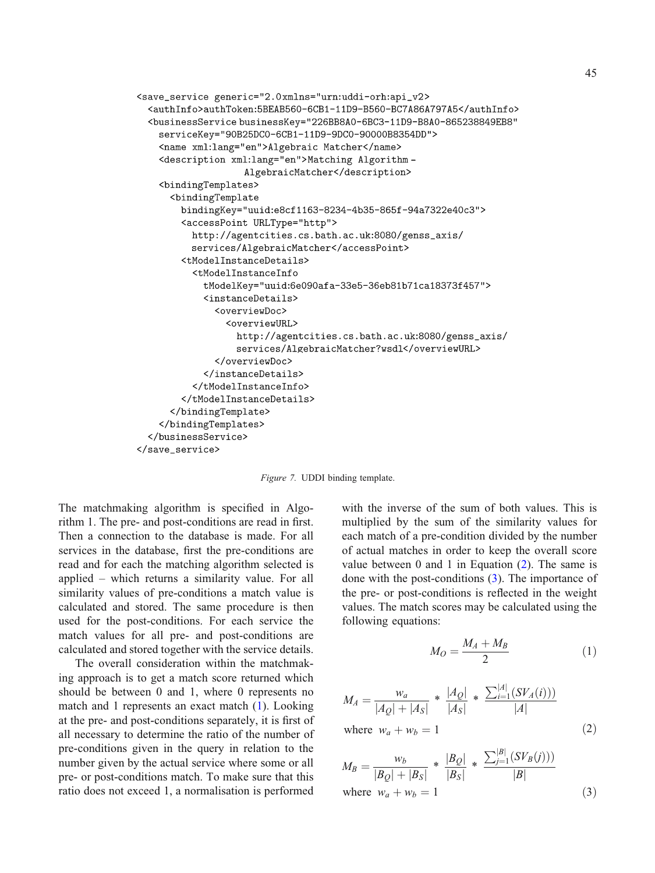```
<save_service_generic="2.0xmlns="urn:uddi-orh:api_v2>
  <authInfo>authToken:5BEAB560-6CB1-11D9-B560-BC7A86A797A5</authInfo>
  <br />
SbusinessServicebusinessKey="226BB8A0-6BC3-11D9-B8A0-865238849EB8"
    serviceKey="90B25DC0-6CB1-11D9-9DC0-90000B8354DD">
    <name xml:lang="en">Algebraic Matcher</name>
    <description xml:lang="en">Matching Algorithm-
                    AlgebraicMatcher</description>
    <bindingTemplates>
      <bindingTemplate
        bindingKey="uuid:e8cf1163-8234-4b35-865f-94a7322e40c3">
        <accessPoint URLType="http">
          http://agentcities.cs.bath.ac.uk:8080/genss_axis/
          services/AlgebraicMatcher</accessPoint>
        <tModelInstanceDetails>
          <tModelInstanceInfo
            tModelKey="uuid:6e090afa-33e5-36eb81b71ca18373f457">
            <sub>instanceDetails</sub></sub>
              <overviewDoc>
                <overviewURL>
                  http://agentcities.cs.bath.ac.uk:8080/genss_axis/
                  services/AlgebraicMatcher?wsdl</overviewURL>
              </overviewDoc>
            </instanceDetails>
          </tModelInstanceInfo>
        </tModelInstanceDetails>
      </bindingTemplate>
    </bindingTemplates>
  </businessService>
</save_service>
```
Figure 7. UDDI binding template.

The matchmaking algorithm is specified in Algorithm 1. The pre- and post-conditions are read in first. Then a connection to the database is made. For all services in the database, first the pre-conditions are read and for each the matching algorithm selected is applied  $-$  which returns a similarity value. For all similarity values of pre-conditions a match value is calculated and stored. The same procedure is then used for the post-conditions. For each service the match values for all pre- and post-conditions are calculated and stored together with the service details.

The overall consideration within the matchmaking approach is to get a match score returned which should be between 0 and 1, where 0 represents no match and 1 represents an exact match (1). Looking at the pre- and post-conditions separately, it is first of all necessary to determine the ratio of the number of pre-conditions given in the query in relation to the number given by the actual service where some or all pre- or post-conditions match. To make sure that this ratio does not exceed 1, a normalisation is performed

with the inverse of the sum of both values. This is multiplied by the sum of the similarity values for each match of a pre-condition divided by the number of actual matches in order to keep the overall score value between 0 and 1 in Equation  $(2)$ . The same is done with the post-conditions (3). The importance of the pre- or post-conditions is reflected in the weight values. The match scores may be calculated using the following equations:

$$
M_O = \frac{M_A + M_B}{2} \tag{1}
$$

PjB<sup>j</sup>

$$
M_A = \frac{w_a}{|A_Q| + |A_S|} * \frac{|A_Q|}{|A_S|} * \frac{\sum_{i=1}^{|A|} (SV_A(i)))}{|A|}
$$
  
where  $w_a + w_b = 1$  (2)

$$
M_B = \frac{w_b}{|B_Q| + |B_S|} * \frac{|B_Q|}{|B_S|} * \frac{\sum_{j=1}^{|B|} (SV_B(j)))}{|B|}
$$
  
where  $w_a + w_b = 1$  (3)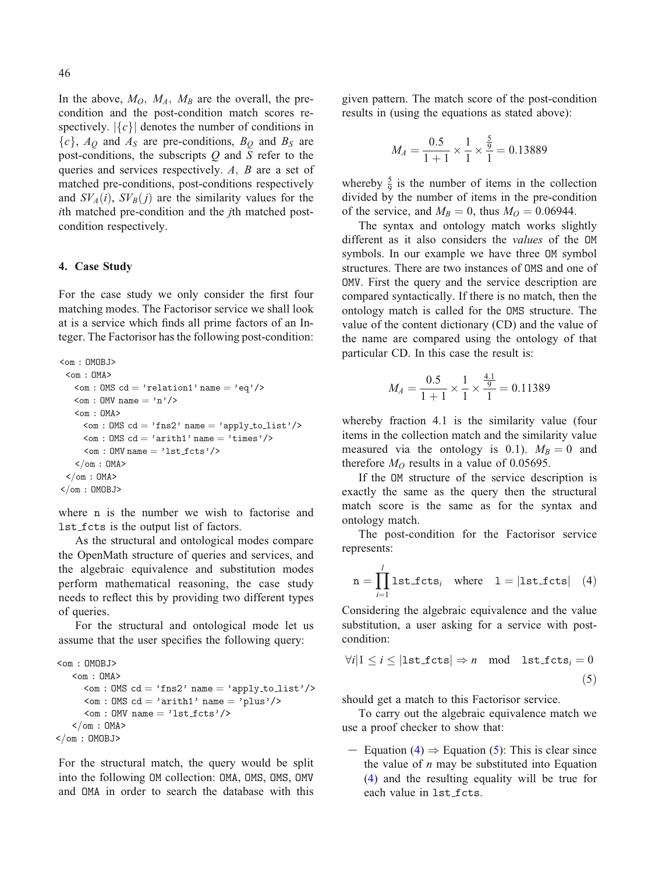<span id="page-13-0"></span>In the above,  $M_O$ ,  $M_A$ ,  $M_B$  are the overall, the precondition and the post-condition match scores respectively.  $|\{c\}|$  denotes the number of conditions in  ${c}$ ,  $A<sub>O</sub>$  and  $A<sub>S</sub>$  are pre-conditions,  $B<sub>O</sub>$  and  $B<sub>S</sub>$  are post-conditions, the subscripts  $Q$  and  $S$  refer to the queries and services respectively.  $A$ ,  $B$  are a set of matched pre-conditions, post-conditions respectively and  $SV_A(i)$ ,  $SV_B(j)$  are the similarity values for the ith matched pre-condition and the jth matched postcondition respectively.

#### 4. Case Study

For the case study we only consider the first four matching modes. The Factorisor service we shall look at is a service which finds all prime factors of an Integer. The Factorisor has the following post-condition:

```
<om : OMOBJ>
 <om : OMA>
   \text{Com}: 0\text{MS} \text{ cd} = \text{'relation1'} \text{ name} = \text{'eq'}/\text{>}\langleom : OMV name = 'n'/>
    <om : OMA>
      \langleom : OMS cd = 'fns2' name = 'apply_to_list'/>
      \zeta : OMS cd = 'arith1' name = 'times'/>
      \leq \mathsf{OMV} name = 'lst_fcts'/>
    </om : OMA>
 </om : OMA>
</om : OMOBJ>
```
where n is the number we wish to factorise and lst fcts is the output list of factors.

As the structural and ontological modes compare the OpenMath structure of queries and services, and the algebraic equivalence and substitution modes perform mathematical reasoning, the case study needs to reflect this by providing two different types of queries.

For the structural and ontological mode let us assume that the user specifies the following query:

<om : OMOBJ> <om : OMA>  $\text{Com}: 0\text{MS} \text{ cd} = \text{'fns2'} \text{ name} = \text{'apply_to_list'}/\text{?}$  $\langle \text{om} : 0 \text{MS} \text{ cd} = \text{'arith1'} \text{ name} = \text{'plus'} \rangle$  $\langle$ om : OMV name = 'lst\_fcts'/>  $<$ /om : OMA>  $<$ /om : OMOBJ>

For the structural match, the query would be split into the following OM collection: OMA, OMS, OMS, OMV and OMA in order to search the database with this

given pattern. The match score of the post-condition results in (using the equations as stated above):

$$
M_A = \frac{0.5}{1+1} \times \frac{1}{1} \times \frac{5}{1} = 0.13889
$$

whereby  $\frac{5}{9}$  is the number of items in the collection divided by the number of items in the pre-condition of the service, and  $M_B = 0$ , thus  $M_O = 0.06944$ .

The syntax and ontology match works slightly different as it also considers the values of the OM symbols. In our example we have three OM symbol structures. There are two instances of OMS and one of OMV. First the query and the service description are compared syntactically. If there is no match, then the ontology match is called for the OMS structure. The value of the content dictionary (CD) and the value of the name are compared using the ontology of that particular CD. In this case the result is:

$$
M_A = \frac{0.5}{1+1} \times \frac{1}{1} \times \frac{\frac{4.1}{9}}{1} = 0.11389
$$

whereby fraction 4.1 is the similarity value (four items in the collection match and the similarity value measured via the ontology is 0.1).  $M_B = 0$  and therefore  $M<sub>O</sub>$  results in a value of 0.05695.

If the OM structure of the service description is exactly the same as the query then the structural match score is the same as for the syntax and ontology match.

The post-condition for the Factorisor service represents:

$$
\mathbf{n} = \prod_{i=1}^{l} \mathtt{lst\_fcts}_i \quad \text{where} \quad 1 = |\mathtt{lst\_fcts}| \quad (4)
$$

Considering the algebraic equivalence and the value substitution, a user asking for a service with postcondition:

$$
\forall i | 1 \le i \le |\text{lst_fcts}| \Rightarrow n \mod \text{lst_fcts}_i = 0
$$
\n
$$
(5)
$$

should get a match to this Factorisor service.

To carry out the algebraic equivalence match we use a proof checker to show that:

- Equation (4)  $\Rightarrow$  Equation (5): This is clear since the value of  $n$  may be substituted into Equation (4) and the resulting equality will be true for each value in 1st\_fcts.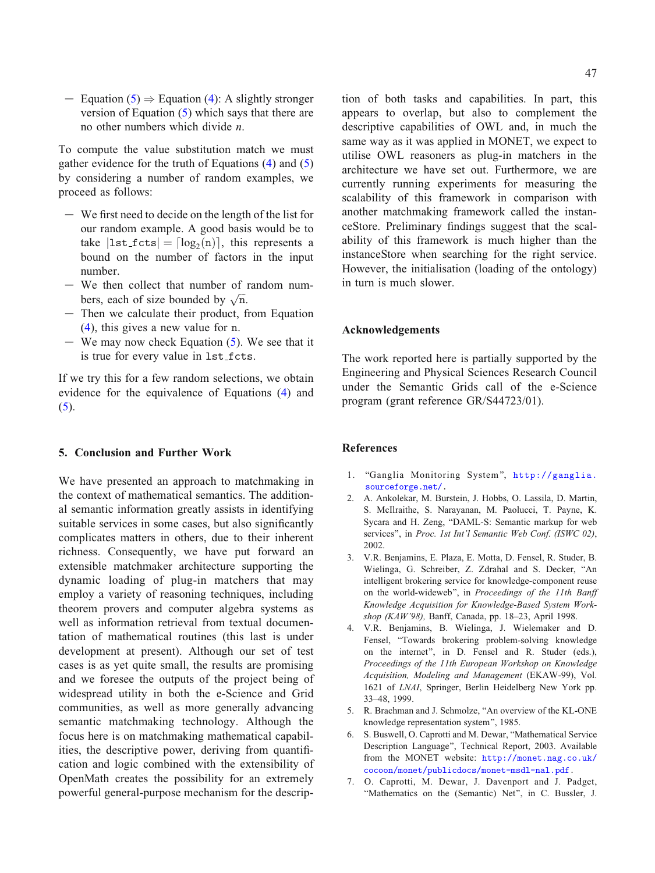<span id="page-14-0"></span>- Equation (5)  $\Rightarrow$  Equation (4): A slightly stronger version of Equation  $(5)$  which says that there are no other numbers which divide n.

To comp[ute](#page-13-0) the value substitution match we must gather evidence for the truth of Equation[s](#page-13-0) (4) and (5) by considering a number of random examples, we proceed as follows:

- We first need to decide on the length of the list f[or](#page-13-0) o[ur](#page-13-0) random example. A good basis would be to take  $|\text{lst\_fcts}| = \lceil \log_2(n) \rceil$ , this represents a bound on the number of factors in the input number.
- We then collect that number of random numwe then concet that humber of  $\frac{1}{2}$
- Then we calculate their product, from Equation (4), this gives a new value for n.
- $-$  We may now check Equation (5). We see that it is true for every value in lst fcts.

If we try this for a few random selections, we obtain evidence for the equivalence of Equations (4) and  $(5).$ 

# 5. Conclusion and Further Work

We have presented an approach to matchmaking in the context of mathematical semantics. The additional semantic information greatly assists in identifying suitable services in some cases, but also significantly complicates matters in others, due to their inherent richness. Consequently, we have put forward an extensible matchmaker architecture supporting the dynamic loading of plug-in matchers that may employ a variety of reasoning techniques, including theorem provers and computer algebra systems as well as information retrieval from textual documentation of mathematical routines (this last is under development at present). Although our set of test cases is as yet quite small, the results are promising and we foresee the outputs of the project being of widespread utility in both the e-Science and Grid communities, as well as more generally advancing semantic matchmaking technology. Although the focus here is on matchmaking mathematical capabilities, the descriptive power, deriving from quantification and logic combined with the extensibility of OpenMath creates the possibility for an extremely powerful general-purpose mechanism for the description of both tasks and capabilities. In part, this appears to overlap, but also to complement the descriptive capabilities of OWL and, in much the same way as it was applied in MONET, we expect to utilise OWL reasoners as plug-in matchers in the architecture we have set out. Furthermore, we are currently running experiments for measuring the scalability of this framework in comparison with another matchmaking framework called the instanceStore. Preliminary findings suggest that the scalability of this framework is much higher than the instanceStore when searching for the right service. However, the initialisation (loading of the ontology) in turn is much slower.

#### Acknowledgements

The work reported here is partially supported by the Engineering and Physical Sciences Research Council under the Semantic Grids call of the e-Science program (grant reference GR/S44723/01).

### References

- 1. "Ganglia Monitoring System", http://ganglia. sourceforge.net/.
- 2. A. Ankolekar, M. Burstein, J. Hobbs, O. Lassila, D. Martin, S. McIlraithe, S. Narayanan, M. Paolucci, T. Payne, K. Sycara and H. Zeng, "DAML-S: Semantic markup for web services", in Proc. 1st Int'l Semantic Web Conf. (ISWC 02), 2002.
- 3. V.R. Benjamins, E. Plaza, E. Motta, D. Fensel, R. Studer, B. Wielinga, G. Schreiber, Z. Zdraha[l and S. Decker,](http://http://monet.nag.co.uk/cocoon/monet/publicdocs/monet-msdl-final.pdf) "An intelli[gent brokering service for knowledge-component reuse](http://http://monet.nag.co.uk/cocoon/monet/publicdocs/monet-msdl-final.pdf) on the world-wideweb", in Proceedings of the 11th Banff Knowledge Acquisition for Knowledge-Based System Workshop (KAW'98), Banff, Canada, pp. 18-23, April 1998.
- 4. V.R. Benjamins, B. Wielinga, J. Wielemaker and D. Fensel, "Towards brokering problem-solving knowledge on the internet", in D. Fensel and R. Studer (eds.), Proceedings of the 11th European Workshop on Knowledge Acquisition, Modeling and Management (EKAW-99), Vol. 1621 of LNAI, Springer, Berlin Heidelberg New York pp. 33-48, 1999.
- 5. R. Brachman and J. Schmolze, "An overview of the KL-ONE knowledge representation system^, 1985.
- 6. S. Buswell, O. Caprotti and M. Dewar, "Mathematical Service Description Language^, Technical Report, 2003. Available from the MONET website: http://monet.nag.co.uk/ cocoon/monet/publicdocs/monet-msdl-nal.pdf.
- 7. O. Caprotti, M. Dewar, J. Davenport and J. Padget, "Mathematics on the (Semantic) Net", in C. Bussler, J.